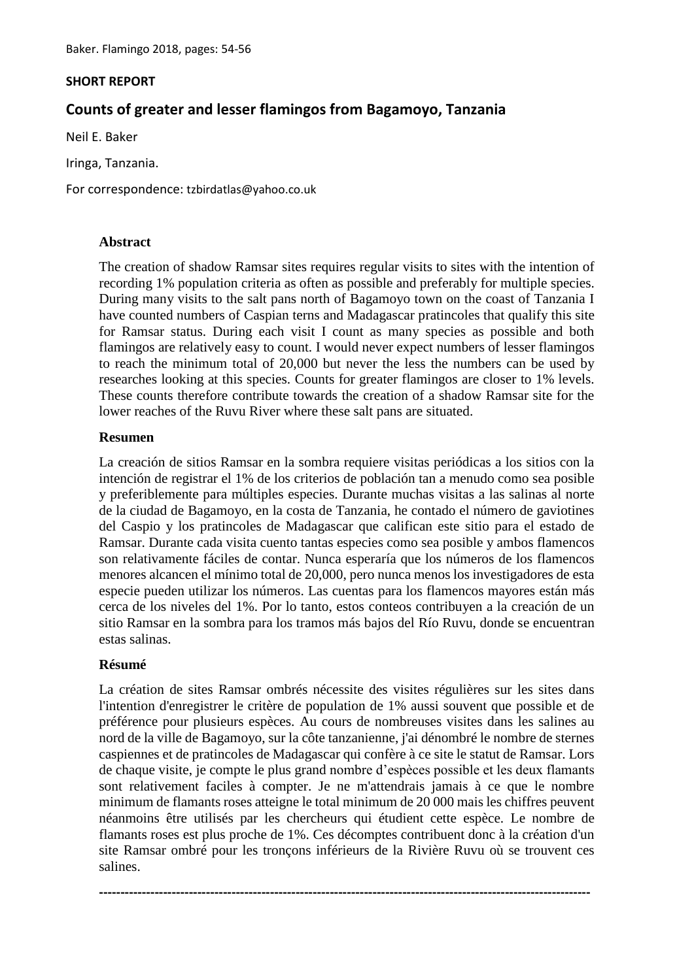## **SHORT REPORT**

# **Counts of greater and lesser flamingos from Bagamoyo, Tanzania**

Neil E. Baker

Iringa, Tanzania.

For correspondence: tzbirdatlas@yahoo.co.uk

#### **Abstract**

The creation of shadow Ramsar sites requires regular visits to sites with the intention of recording 1% population criteria as often as possible and preferably for multiple species. During many visits to the salt pans north of Bagamoyo town on the coast of Tanzania I have counted numbers of Caspian terns and Madagascar pratincoles that qualify this site for Ramsar status. During each visit I count as many species as possible and both flamingos are relatively easy to count. I would never expect numbers of lesser flamingos to reach the minimum total of 20,000 but never the less the numbers can be used by researches looking at this species. Counts for greater flamingos are closer to 1% levels. These counts therefore contribute towards the creation of a shadow Ramsar site for the lower reaches of the Ruvu River where these salt pans are situated.

#### **Resumen**

La creación de sitios Ramsar en la sombra requiere visitas periódicas a los sitios con la intención de registrar el 1% de los criterios de población tan a menudo como sea posible y preferiblemente para múltiples especies. Durante muchas visitas a las salinas al norte de la ciudad de Bagamoyo, en la costa de Tanzania, he contado el número de gaviotines del Caspio y los pratincoles de Madagascar que califican este sitio para el estado de Ramsar. Durante cada visita cuento tantas especies como sea posible y ambos flamencos son relativamente fáciles de contar. Nunca esperaría que los números de los flamencos menores alcancen el mínimo total de 20,000, pero nunca menos los investigadores de esta especie pueden utilizar los números. Las cuentas para los flamencos mayores están más cerca de los niveles del 1%. Por lo tanto, estos conteos contribuyen a la creación de un sitio Ramsar en la sombra para los tramos más bajos del Río Ruvu, donde se encuentran estas salinas.

#### **Résumé**

La création de sites Ramsar ombrés nécessite des visites régulières sur les sites dans l'intention d'enregistrer le critère de population de 1% aussi souvent que possible et de préférence pour plusieurs espèces. Au cours de nombreuses visites dans les salines au nord de la ville de Bagamoyo, sur la côte tanzanienne, j'ai dénombré le nombre de sternes caspiennes et de pratincoles de Madagascar qui confère à ce site le statut de Ramsar. Lors de chaque visite, je compte le plus grand nombre d'espèces possible et les deux flamants sont relativement faciles à compter. Je ne m'attendrais jamais à ce que le nombre minimum de flamants roses atteigne le total minimum de 20 000 mais les chiffres peuvent néanmoins être utilisés par les chercheurs qui étudient cette espèce. Le nombre de flamants roses est plus proche de 1%. Ces décomptes contribuent donc à la création d'un site Ramsar ombré pour les tronçons inférieurs de la Rivière Ruvu où se trouvent ces salines.

**-------------------------------------------------------------------------------------------------------------------**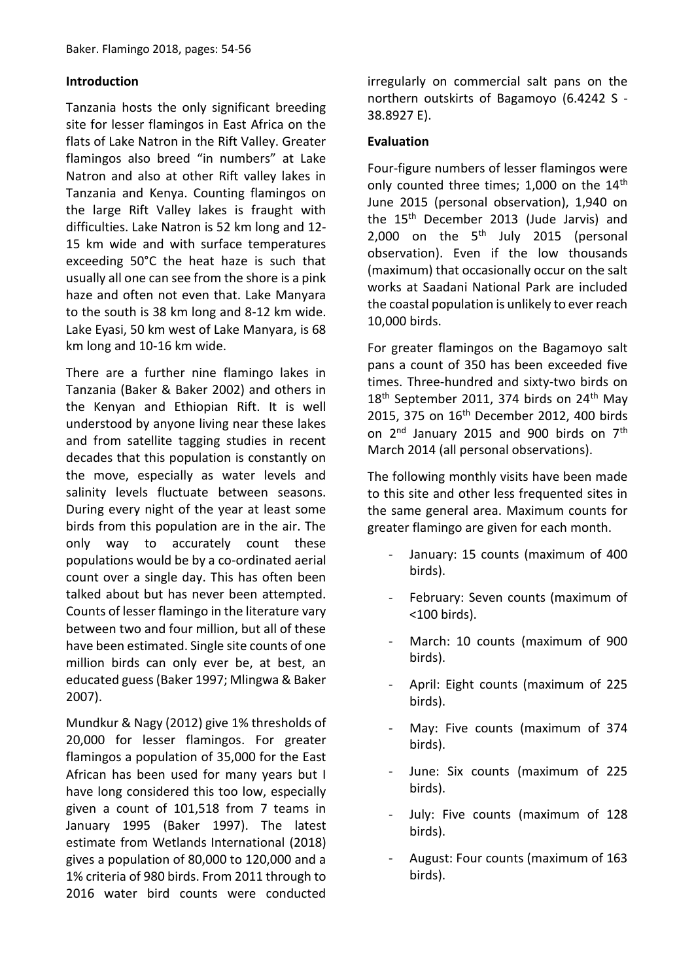#### **Introduction**

Tanzania hosts the only significant breeding site for lesser flamingos in East Africa on the flats of Lake Natron in the Rift Valley. Greater flamingos also breed "in numbers" at Lake Natron and also at other Rift valley lakes in Tanzania and Kenya. Counting flamingos on the large Rift Valley lakes is fraught with difficulties. Lake Natron is 52 km long and 12- 15 km wide and with surface temperatures exceeding 50°C the heat haze is such that usually all one can see from the shore is a pink haze and often not even that. Lake Manyara to the south is 38 km long and 8-12 km wide. Lake Eyasi, 50 km west of Lake Manyara, is 68 km long and 10-16 km wide.

There are a further nine flamingo lakes in Tanzania (Baker & Baker 2002) and others in the Kenyan and Ethiopian Rift. It is well understood by anyone living near these lakes and from satellite tagging studies in recent decades that this population is constantly on the move, especially as water levels and salinity levels fluctuate between seasons. During every night of the year at least some birds from this population are in the air. The only way to accurately count these populations would be by a co-ordinated aerial count over a single day. This has often been talked about but has never been attempted. Counts of lesser flamingo in the literature vary between two and four million, but all of these have been estimated. Single site counts of one million birds can only ever be, at best, an educated guess (Baker 1997; Mlingwa & Baker 2007).

Mundkur & Nagy (2012) give 1% thresholds of 20,000 for lesser flamingos. For greater flamingos a population of 35,000 for the East African has been used for many years but I have long considered this too low, especially given a count of 101,518 from 7 teams in January 1995 (Baker 1997). The latest estimate from Wetlands International (2018) gives a population of 80,000 to 120,000 and a 1% criteria of 980 birds. From 2011 through to 2016 water bird counts were conducted

irregularly on commercial salt pans on the northern outskirts of Bagamoyo (6.4242 S - 38.8927 E).

#### **Evaluation**

Four-figure numbers of lesser flamingos were only counted three times; 1,000 on the 14<sup>th</sup> June 2015 (personal observation), 1,940 on the 15<sup>th</sup> December 2013 (Jude Jarvis) and 2,000 on the  $5<sup>th</sup>$  July 2015 (personal observation). Even if the low thousands (maximum) that occasionally occur on the salt works at Saadani National Park are included the coastal population is unlikely to ever reach 10,000 birds.

For greater flamingos on the Bagamoyo salt pans a count of 350 has been exceeded five times. Three-hundred and sixty-two birds on  $18<sup>th</sup>$  September 2011, 374 birds on 24<sup>th</sup> May 2015, 375 on 16<sup>th</sup> December 2012, 400 birds on 2<sup>nd</sup> January 2015 and 900 birds on 7<sup>th</sup> March 2014 (all personal observations).

The following monthly visits have been made to this site and other less frequented sites in the same general area. Maximum counts for greater flamingo are given for each month.

- January: 15 counts (maximum of 400 birds).
- February: Seven counts (maximum of <100 birds).
- March: 10 counts (maximum of 900 birds).
- April: Eight counts (maximum of 225 birds).
- May: Five counts (maximum of 374 birds).
- June: Six counts (maximum of 225 birds).
- July: Five counts (maximum of 128 birds).
- August: Four counts (maximum of 163 birds).